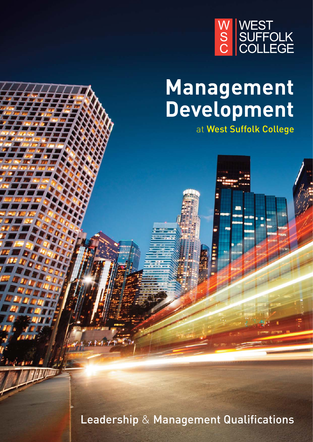

# **Management Development**

at West Suffolk College

Leadership & Management Qualifications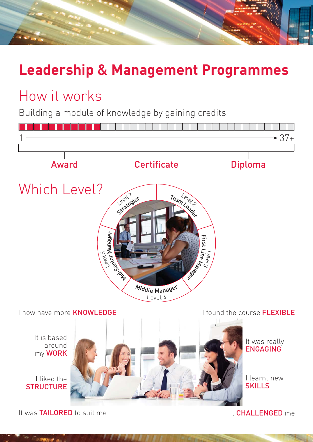## **Leadership** & **Management Programmes**

### How it works

Building a module of knowledge by gaining credits



It was TAILORED to suit me

It CHALLENGED me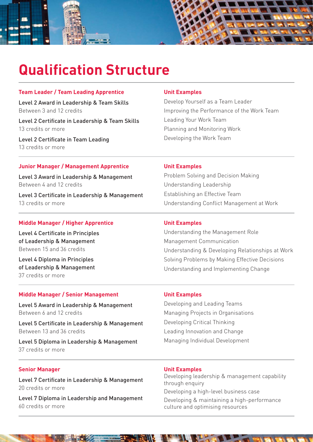

### **Qualification Structure**

#### **Team Leader / Team Leading Apprentice**

Level 2 Award in Leadership & Team Skills Between 3 and 12 credits

Level 2 Certificate in Leadership & Team Skills 13 credits or more

Level 2 Certificate in Team Leading 13 credits or more

#### **Unit Examples**

Develop Yourself as a Team Leader Improving the Performance of the Work Team Leading Your Work Team Planning and Monitoring Work Developing the Work Team

#### **Junior Manager / Management Apprentice**

Level 3 Award in Leadership & Management Between 4 and 12 credits

Level 3 Certificate in Leadership & Management 13 credits or more

#### **Middle Manager / Higher Apprentice**

Level 4 Certificate in Principles of Leadership & Management Between 15 and 36 credits

Level 4 Diploma in Principles of Leadership & Management 37 credits or more

#### **Middle Manager / Senior Management**

Level 5 Award in Leadership & Management Between 6 and 12 credits

Level 5 Certificate in Leadership & Management Between 13 and 36 credits

Level 5 Diploma in Leadership & Management 37 credits or more

#### **Senior Manager**

Level 7 Certificate in Leadership & Management 20 credits or more

Level 7 Diploma in Leadership and Management 60 credits or more

#### **Unit Examples**

Problem Solving and Decision Making Understanding Leadership Establishing an Effective Team Understanding Conflict Management at Work

#### **Unit Examples**

Understanding the Management Role Management Communication Understanding & Developing Relationships at Work Solving Problems by Making Effective Decisions Understanding and Implementing Change

#### **Unit Examples**

Developing and Leading Teams Managing Projects in Organisations Developing Critical Thinking Leading Innovation and Change Managing Individual Development

#### **Unit Examples**

Developing leadership & management capability through enquiry Developing a high-level business case Developing & maintaining a high-performance culture and optimising resources